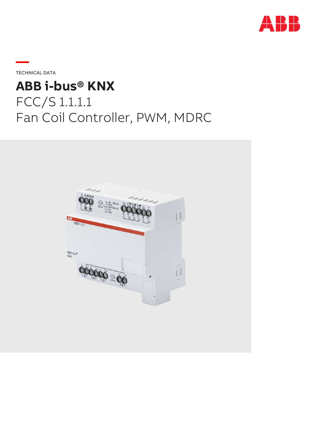

**—**TECHNICAL DATA

# **ABB i-bus® KNX** FCC/S 1.1.1.1 Fan Coil Controller, PWM, MDRC

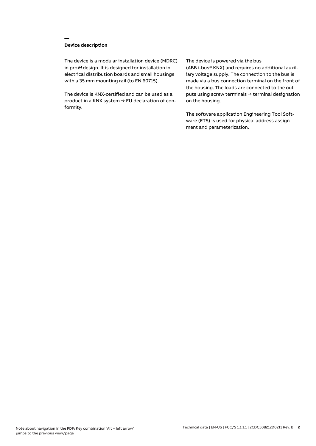# **Device description**

**—**

The device is a modular installation device (MDRC) in proM design. It is designed for installation in electrical distribution boards and small housings with a 35 mm mounting rail (to EN 60715).

The device is KNX-certified and can be used as a product in a KNX system → EU declaration of conformity.

## The device is powered via the bus

(ABB i-bus® KNX) and requires no additional auxiliary voltage supply. The connection to the bus is made via a bus connection terminal on the front of the housing. The loads are connected to the outputs using screw terminals → terminal designation on the housing.

The software application Engineering Tool Software (ETS) is used for physical address assignment and parameterization.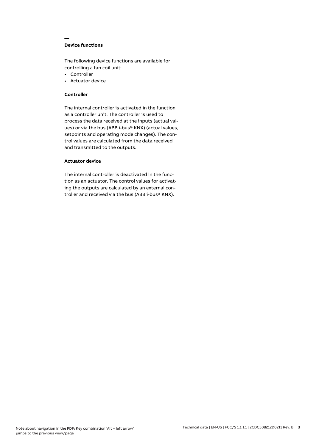# **Device functions**

**—**

The following device functions are available for controlling a fan coil unit:

- Controller
- Actuator device

## **Controller**

The internal controller is activated in the function as a controller unit. The controller is used to process the data received at the inputs (actual values) or via the bus (ABB i-bus® KNX) (actual values, setpoints and operating mode changes). The control values are calculated from the data received and transmitted to the outputs.

# **Actuator device**

The internal controller is deactivated in the function as an actuator. The control values for activating the outputs are calculated by an external controller and received via the bus (ABB i-bus® KNX).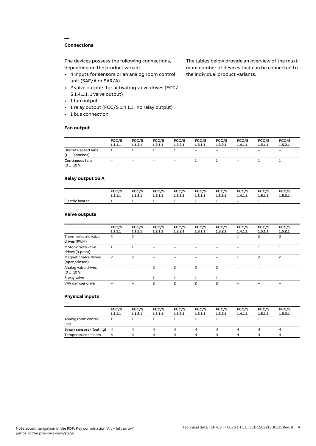# **Connections**

**—**

The devices possess the following connections, depending on the product variant:

- 4 inputs for sensors or an analog room control unit (SAF/A or SAR/A)
- 2 valve outputs for activating valve drives (FCC/ S 1.4.1.1: 1 valve output)
- 1 fan output
- 1 relay output (FCC/S 1.4.1.1 : no relay output)
- 1 bus connection

## **Fan output**

The tables below provide an overview of the maximum number of devices that can be connected to the individual product variants.

|                                               | FCC/S<br>1.1.1.1 | FCC/S<br>1.1.2.1 | FCC/S<br>1.2.1.1  | FCC/S<br>1.2.2.1         | FCC/S<br>1.3.1.1  | FCC/S<br>1.3.2.1         | FCC/S<br>1.4.1.1         | FCC/S<br>1.5.1.1             | FCC/S<br>1.5.2.1         |
|-----------------------------------------------|------------------|------------------|-------------------|--------------------------|-------------------|--------------------------|--------------------------|------------------------------|--------------------------|
| Discrete speed fans<br>$(1 \ldots 3$ -speeds) |                  |                  |                   |                          | $\qquad \qquad -$ | $\overline{\phantom{m}}$ |                          | $\qquad \qquad \blacksquare$ | $\overline{\phantom{0}}$ |
| Continuous fans<br>(010V)                     | -                | -                | $\qquad \qquad -$ | $\overline{\phantom{a}}$ |                   |                          | $\overline{\phantom{0}}$ |                              |                          |

# **Relay output 16 A**

|                 | FCC/S   | FCC/S   | FCC/S   | FCC/S   | FCC/S   | FCC/S   | FCC/S   | FCC/S   | FCC/S   |
|-----------------|---------|---------|---------|---------|---------|---------|---------|---------|---------|
|                 | 1.1.1.1 | 1.1.2.1 | 1.2.1.1 | 1.2.2.1 | 1.3.1.1 | 1.3.2.1 | 1.4.1.1 | 1.5.1.1 | 1.5.2.1 |
| Electric heater |         |         |         |         |         |         | $-$     |         |         |

## **Valve outputs**

|                                        | FCC/S<br>1.1.1.1 | FCC/S<br>1.1.2.1         | FCC/S<br>1.2.1.1 | FCC/S<br>1.2.2.1 | FCC/S<br>1.3.1.1         | FCC/S<br>1.3.2.1         | FCC/S<br>1.4.1.1 | FCC/S<br>1.5.1.1 | FCC/S<br>1.5.2.1 |  |
|----------------------------------------|------------------|--------------------------|------------------|------------------|--------------------------|--------------------------|------------------|------------------|------------------|--|
| Thermoelectric valve<br>drives (PWM)   | 2                | 2                        |                  |                  |                          |                          |                  | 2                | 2                |  |
| Motor-driven valve<br>drives (3-point) |                  |                          |                  |                  |                          |                          |                  |                  |                  |  |
| Magnetic valve drives<br>(open/closed) | 2                | $\overline{\phantom{0}}$ |                  |                  |                          |                          |                  | $\overline{c}$   | $\overline{c}$   |  |
| Analog valve drives<br>(010V)          |                  |                          | ς                | 2                | $\overline{c}$           | 2                        |                  |                  |                  |  |
| 6-way valve                            |                  |                          |                  |                  |                          |                          |                  |                  |                  |  |
| VAV damper drive                       |                  |                          | 2                | $\mathcal{P}$    | $\overline{\phantom{0}}$ | $\overline{\phantom{0}}$ |                  |                  |                  |  |
|                                        |                  |                          |                  |                  |                          |                          |                  |                  |                  |  |

## **Physical inputs**

|                             | FCC/S<br>1.1.1.1 | FCC/S<br>1.1.2.1 | FCC/S<br>1.2.1.1 | FCC/S<br>1.2.2.1 | FCC/S<br>1.3.1.1 | FCC/S<br>1.3.2.1 | FCC/S<br>1.4.1.1 | FCC/S<br>1.5.1.1 | FCC/S<br>1.5.2.1 |
|-----------------------------|------------------|------------------|------------------|------------------|------------------|------------------|------------------|------------------|------------------|
| Analog room control<br>unit |                  |                  |                  |                  |                  |                  |                  |                  |                  |
| Binary sensors (floating) 4 |                  |                  | 4                |                  | Δ.               | 4                |                  |                  | 4                |
| Temperature sensors         | 4                | Δ.               | Δ                |                  | Δ.               | 4                |                  | Δ                | 4                |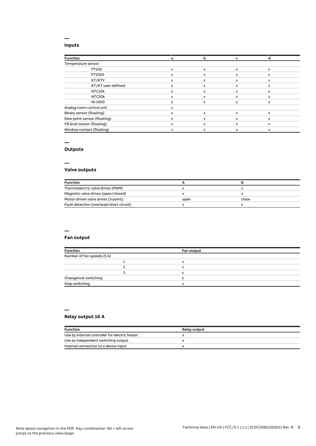# **Inputs**

**—**

| <b>Function</b>              | a | b | c                         |              |
|------------------------------|---|---|---------------------------|--------------|
| Temperature sensor           |   |   |                           |              |
| PT100                        | x | X | $\boldsymbol{\mathsf{x}}$ | $\mathsf{x}$ |
| PT1000                       | x | X | x                         | x            |
| KT/KTY                       | x | x | x                         | x            |
| KT/KT user-defined           | x | x | X                         | $\mathsf{x}$ |
| NTC10k                       | x | x | x                         | x            |
| NTC20k                       | x | x | x                         | x            |
| NI-1000                      | x | x | x                         | x            |
| Analog room control unit     | x |   |                           |              |
| Binary sensor (floating)     | x | X | x                         | $\mathsf{x}$ |
| Dew point sensor (floating)  | x | x | X                         | x            |
| Fill level sensor (floating) | x | X | x                         | $\mathsf{x}$ |
| Window contact (floating)    | x | x | X                         | x            |

## **—**

# **Outputs**

**—**

# **Valve outputs**

| <b>Function</b>                          |      |       |  |
|------------------------------------------|------|-------|--|
| Thermoelectric valve drives (PWM)        |      |       |  |
| Magnetic valve drives (open/closed)      |      |       |  |
| Motor-driven valve drives (3-point)      | open | close |  |
| Fault detection (overload/short circuit) |      |       |  |

#### **—**

# **Fan output**

| <b>Function</b>            | Fan output |  |
|----------------------------|------------|--|
| Number of fan speeds (5 A) |            |  |
|                            |            |  |
|                            | x          |  |
|                            | x          |  |
| Changeover switching       |            |  |
| Step switching             |            |  |

#### **—**

# **Relay output 16 A**

| <b>Function</b>                                | Relay output |
|------------------------------------------------|--------------|
| Use by internal controller for electric heater |              |
| Use as independent switching output            |              |
| Internal connection to a device input          |              |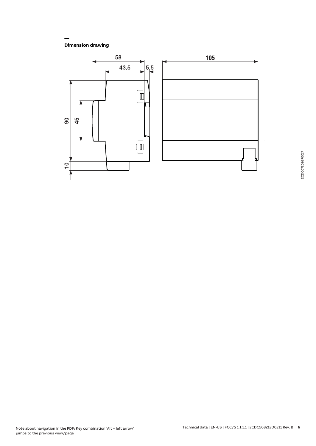**Dimension drawing**

**—**

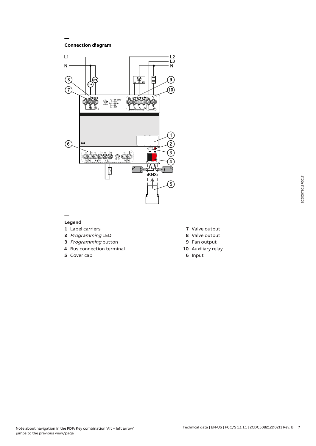**Connection diagram**

**—**



## **— Legend**

- **1** Label carriers
- **2** Programming LED
- **3** Programming button
- **4** Bus connection terminal
- **5** Cover cap
- **7** Valve output
- **8** Valve output
- **9** Fan output
- **10** Auxiliary relay
- **6** Input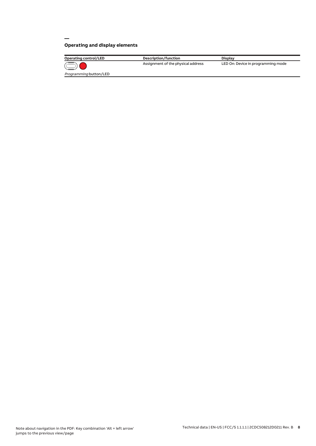# **Operating and display elements**

**—**

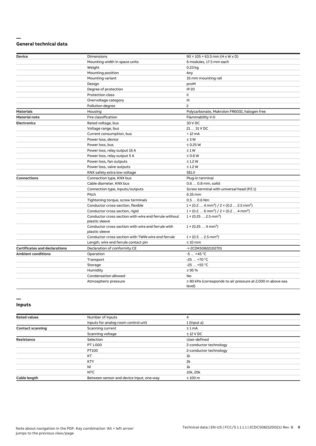## **— General technical data**

| <b>Device</b>                        | <b>Dimensions</b>                                                       | $90 \times 105 \times 63.5$ mm (H x W x D)                                |
|--------------------------------------|-------------------------------------------------------------------------|---------------------------------------------------------------------------|
|                                      | Mounting width in space units                                           | 6 modules, 17.5 mm each                                                   |
|                                      | Weight                                                                  | 0.23 kg                                                                   |
|                                      | Mounting position                                                       | Any                                                                       |
|                                      | Mounting variant                                                        | 35 mm mounting rail                                                       |
|                                      | Design                                                                  | proM                                                                      |
|                                      | Degree of protection                                                    | IP 20                                                                     |
|                                      | Protection class                                                        | Ш                                                                         |
|                                      | Overvoltage category                                                    | Ш                                                                         |
|                                      | Pollution degree                                                        | $\mathsf{S}$                                                              |
| <b>Materials</b>                     | Housing                                                                 | Polycarbonate, Makrolon FR6002, halogen free                              |
| <b>Material note</b>                 | Fire classification                                                     | Flammability V-0                                                          |
| <b>Electronics</b>                   | Rated voltage, bus                                                      | 30 V DC                                                                   |
|                                      | Voltage range, bus                                                      | 21  31 V DC                                                               |
|                                      | Current consumption, bus                                                | $<$ 12 mA                                                                 |
|                                      | Power loss, device                                                      | $\leq 3 W$                                                                |
|                                      | Power loss, bus                                                         | $\leq$ 0.25 W                                                             |
|                                      | Power loss, relay output 16 A                                           | $\leq 1 W$                                                                |
|                                      | Power loss, relay output 5 A                                            | $\leq 0.6$ W                                                              |
|                                      | Power loss, fan outputs                                                 | $\leq$ 1.2 W                                                              |
|                                      | Power loss, valve outputs                                               | $\leq$ 1.2 W                                                              |
|                                      | KNX safety extra low voltage                                            | <b>SELV</b>                                                               |
| <b>Connections</b>                   | Connection type, KNX bus                                                | Plug-in terminal                                                          |
|                                      | Cable diameter, KNX bus                                                 | 0.6  0.8 mm, solid                                                        |
|                                      | Connection type, inputs/outputs                                         | Screw terminal with universal head (PZ 1)                                 |
|                                      | Pitch                                                                   | 6.35 mm                                                                   |
|                                      | Tightening torque, screw terminals                                      | $0.50.6$ Nm                                                               |
|                                      | Conductor cross-section, flexible                                       | $1 \times (0.2  4 mm2) / 2 \times (0.2  2.5 mm2)$                         |
|                                      | Conductor cross section, rigid                                          | $1 \times (0.26 \text{ mm}^2) / 2 \times (0.24 \text{ mm}^2)$             |
|                                      | Conductor cross section with wire end ferrule without<br>plastic sleeve | $1 \times (0.252.5 \text{ mm}^2)$                                         |
|                                      | Conductor cross section with wire end ferrule with<br>plastic sleeve    | $1 \times (0.254 \text{ mm}^2)$                                           |
|                                      | Conductor cross section with TWIN wire end ferrule                      | $1 \times (0.52.5)$ mm <sup>2</sup> )                                     |
|                                      | Length, wire end ferrule contact pin                                    | $\geq 10$ mm                                                              |
| <b>Certificates and declarations</b> | Declaration of conformity CE                                            | → 2CDK508221D2701                                                         |
| <b>Ambient conditions</b>            | Operation                                                               | $-5+45$ °C                                                                |
|                                      | Transport                                                               | $-25+70 °C$                                                               |
|                                      | Storage                                                                 | $-25+55$ °C                                                               |
|                                      | Humidity                                                                | $\leq$ 95 %                                                               |
|                                      | Condensation allowed                                                    | No                                                                        |
|                                      | Atmospheric pressure                                                    | $\geq$ 80 kPa (corresponds to air pressure at 2,000 m above sea<br>level) |

## **— Inputs**

| <b>Rated values</b>     | Number of inputs                         | 4                      |
|-------------------------|------------------------------------------|------------------------|
|                         | Inputs for analog room control unit      | 1 (input a)            |
| <b>Contact scanning</b> | Scanning current                         | $\leq 1$ mA            |
|                         | Scanning voltage                         | $\leq$ 12 V DC         |
| <b>Resistance</b>       | Selection                                | User-defined           |
|                         | PT 1.000                                 | 2-conductor technology |
|                         | PT100                                    | 2-conductor technology |
|                         | KT                                       | 1k                     |
|                         | <b>KTY</b>                               | 2k                     |
|                         | <b>NI</b>                                | 1k                     |
|                         | NTC                                      | 10k, 20k               |
| Cable length            | Between sensor and device input, one-way | $\leq 100$ m           |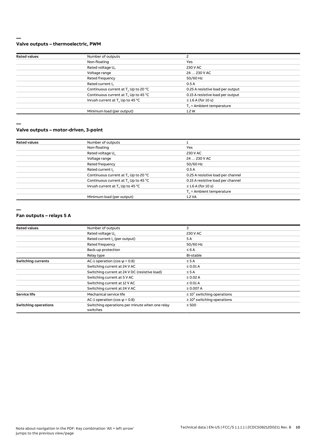## **— Valve outputs – thermoelectric, PWM**

| <b>Rated values</b> | Number of outputs                                |                                   |
|---------------------|--------------------------------------------------|-----------------------------------|
|                     | Non-floating                                     | Yes                               |
|                     | Rated voltage U <sub>n</sub>                     | 230 V AC                          |
|                     | Voltage range                                    | 24  230 V AC                      |
|                     | Rated frequency                                  | 50/60 Hz                          |
|                     | Rated current I <sub>n</sub>                     | 0.5A                              |
|                     | Continuous current at T. Up to 20 °C             | 0.25 A resistive load per output  |
|                     | Continuous current at T <sub>u</sub> Up to 45 °C | 0.15 A resistive load per output  |
|                     | Inrush current at T <sub>u</sub> Up to 45 °C     | $\leq$ 1.6 A (for 10 s)           |
|                     |                                                  | $T_{\rm u}$ = Ambient temperature |
|                     | Minimum load (per output)                        | 1.2W                              |
|                     |                                                  |                                   |

**—**

## **Valve outputs – motor-driven, 3-point**

| <b>Rated values</b> | Number of outputs                                |                                   |
|---------------------|--------------------------------------------------|-----------------------------------|
|                     | Non-floating                                     | Yes                               |
|                     | Rated voltage U <sub>n</sub>                     | 230 V AC                          |
|                     | Voltage range                                    | 24  230 V AC                      |
|                     | Rated frequency                                  | 50/60 Hz                          |
|                     | Rated current I <sub>n</sub>                     | 0.5A                              |
|                     | Continuous current at T <sub>u</sub> Up to 20 °C | 0.25 A resistive load per channel |
|                     | Continuous current at T <sub>u</sub> Up to 45 °C | 0.15 A resistive load per channel |
|                     | Inrush current at T <sub>u</sub> Up to 45 °C     | $\leq$ 1.6 A (for 10 s)           |
|                     |                                                  | $T_{\rm u}$ = Ambient temperature |
|                     | Minimum load (per output)                        | 1.2 VA                            |

**—**

#### **Fan outputs – relays 5 A**

| <b>Rated values</b>         | Number of outputs                                          | 3                                |
|-----------------------------|------------------------------------------------------------|----------------------------------|
|                             | Rated voltage U.                                           | 230 V AC                         |
|                             | Rated current I <sub>n</sub> (per output)                  | 5A                               |
|                             | Rated frequency                                            | 50/60 Hz                         |
|                             | Back-up protection                                         | $\leq 6A$                        |
|                             | Relay type                                                 | Bi-stable                        |
| <b>Switching currents</b>   | AC-1 operation (cos $\varphi$ = 0.8)                       | $\leq$ 5 A                       |
|                             | Switching current at 24 V AC                               | $\geq$ 0.01 A                    |
|                             | Switching current at 24 V DC (resistive load)              | $\leq$ 5 A                       |
|                             | Switching current at 5 V AC                                | $\geq$ 0.02 A                    |
|                             | Switching current at 12 V AC                               | $\geq 0.01$ A                    |
|                             | Switching current at 24 V AC                               | ≥ 0.007 A                        |
| <b>Service life</b>         | Mechanical service life                                    | $\geq 10^7$ switching operations |
|                             | AC-1 operation (cos $\varphi$ = 0.8)                       | $\geq 10^5$ switching operations |
| <b>Switching operations</b> | Switching operations per minute when one relay<br>switches | $\leq 500$                       |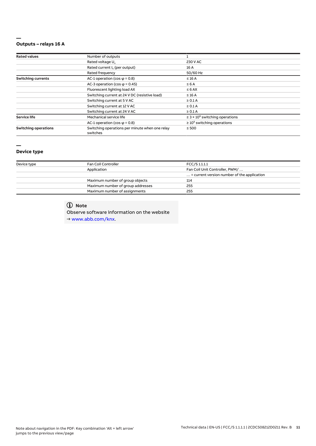## **— Outputs – relays 16 A**

| <b>Rated values</b>         | Number of outputs                                          |                                                 |  |
|-----------------------------|------------------------------------------------------------|-------------------------------------------------|--|
|                             | Rated voltage U <sub>n</sub>                               | 230 V AC                                        |  |
|                             | Rated current I <sub>n</sub> (per output)                  | 16 A                                            |  |
|                             | Rated frequency                                            | 50/60 Hz                                        |  |
| <b>Switching currents</b>   | AC-1 operation (cos $\varphi$ = 0.8)                       | $\leq 16$ A                                     |  |
|                             | AC-3 operation (cos $\varphi$ = 0.45)                      | $\leq 6A$                                       |  |
|                             | Fluorescent lighting load AX                               | $\leq 6$ AX                                     |  |
|                             | Switching current at 24 V DC (resistive load)              | $\leq 16$ A                                     |  |
|                             | Switching current at 5 V AC                                | $\geq 0.1$ A                                    |  |
|                             | Switching current at 12 V AC                               | $\geq 0.1$ A                                    |  |
|                             | Switching current at 24 V AC                               | $\geq 0.1$ A                                    |  |
| <b>Service life</b>         | Mechanical service life                                    | $\geq$ 3 × 10 <sup>6</sup> switching operations |  |
|                             | AC-1 operation (cos $\varphi$ = 0.8)                       | $\geq 10^5$ switching operations                |  |
| <b>Switching operations</b> | Switching operations per minute when one relay<br>switches | $\leq 500$                                      |  |

# **—**

# **Device type**

| Device type | Fan Coil Controller               | FCC/S 1.1.1.1                                        |  |
|-------------|-----------------------------------|------------------------------------------------------|--|
|             | Application                       | Fan Coil Unit Controller, PWM/                       |  |
|             |                                   | $\ldots$ = current version number of the application |  |
|             | Maximum number of group objects   | 114                                                  |  |
|             | Maximum number of group addresses | 255                                                  |  |
|             | Maximum number of assignments     | 255                                                  |  |

# **Note**

Observe software information on the website → www.abb.com/knx.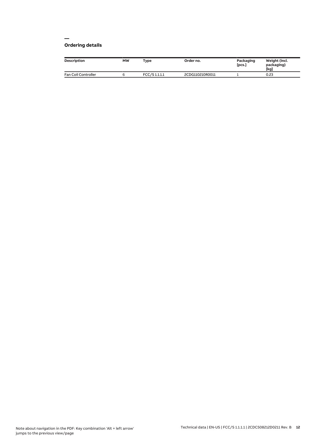## **— Ordering details**

| <b>Description</b>  | МW | Type          | Order no.       | Packaging<br>[pcs.] | Weight (incl.<br>packaging)<br>[kg] |
|---------------------|----|---------------|-----------------|---------------------|-------------------------------------|
| Fan Coil Controller |    | FCC/S 1.1.1.1 | 2CDG110210R0011 |                     | 0.23                                |